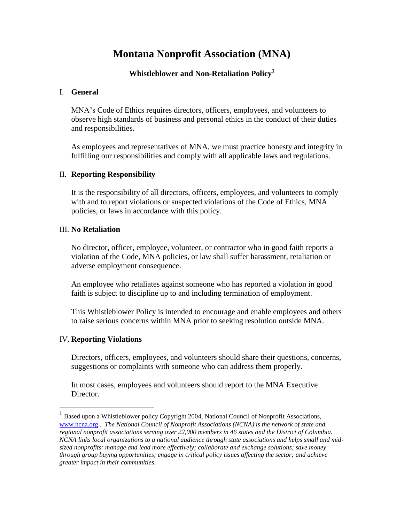# **Montana Nonprofit Association (MNA)**

#### **Whistleblower and Non-Retaliation Policy<sup>1</sup>**

#### I. **General**

MNA's Code of Ethics requires directors, officers, employees, and volunteers to observe high standards of business and personal ethics in the conduct of their duties and responsibilities.

As employees and representatives of MNA, we must practice honesty and integrity in fulfilling our responsibilities and comply with all applicable laws and regulations.

#### II. **Reporting Responsibility**

It is the responsibility of all directors, officers, employees, and volunteers to comply with and to report violations or suspected violations of the Code of Ethics, MNA policies, or laws in accordance with this policy.

#### III. **No Retaliation**

No director, officer, employee, volunteer, or contractor who in good faith reports a violation of the Code, MNA policies, or law shall suffer harassment, retaliation or adverse employment consequence.

An employee who retaliates against someone who has reported a violation in good faith is subject to discipline up to and including termination of employment.

This Whistleblower Policy is intended to encourage and enable employees and others to raise serious concerns within MNA prior to seeking resolution outside MNA.

# IV. **Reporting Violations**

 $\overline{a}$ 

Directors, officers, employees, and volunteers should share their questions, concerns, suggestions or complaints with someone who can address them properly.

In most cases, employees and volunteers should report to the MNA Executive Director.

<sup>&</sup>lt;sup>1</sup> Based upon a Whistleblower policy Copyright 2004, National Council of Nonprofit Associations, [www.ncna.org.](http://www.ncna.org/). *The National Council of Nonprofit Associations (NCNA) is the network of state and regional nonprofit associations serving over 22,000 members in 46 states and the District of Columbia. NCNA links local organizations to a national audience through state associations and helps small and midsized nonprofits: manage and lead more effectively; collaborate and exchange solutions; save money through group buying opportunities; engage in critical policy issues affecting the sector; and achieve greater impact in their communities.*